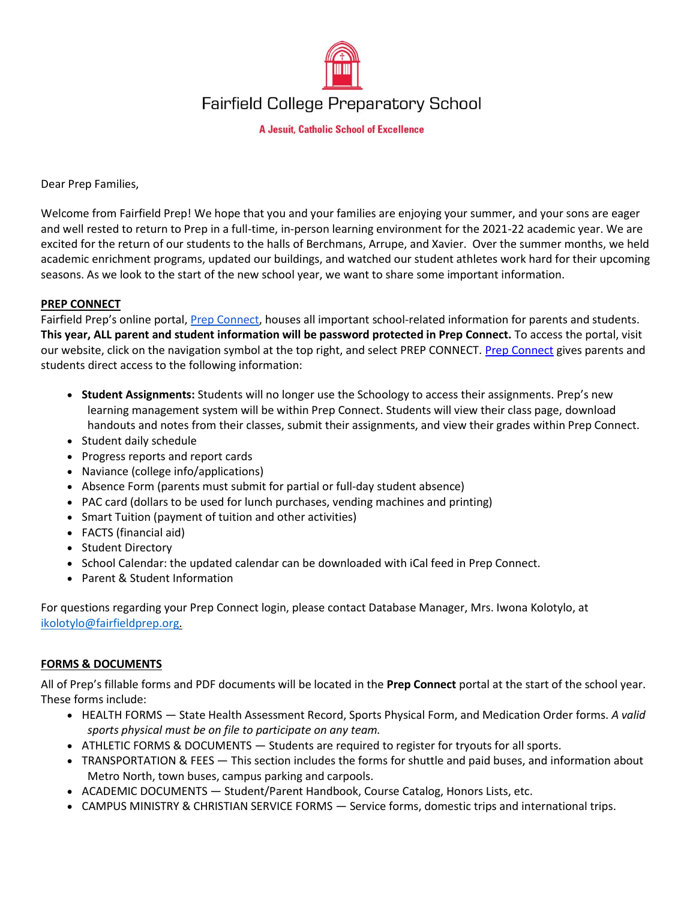

**A Jesuit, Catholic School of Excellence** 

Dear Prep Families,

Welcome from Fairfield Prep! We hope that you and your families are enjoying your summer, and your sons are eager and well rested to return to Prep in a full-time, in-person learning environment for the 2021-22 academic year. We are excited for the return of our students to the halls of Berchmans, Arrupe, and Xavier. Over the summer months, we held academic enrichment programs, updated our buildings, and watched our student athletes work hard for their upcoming seasons. As we look to the start of the new school year, we want to share some important information.

### **PREP CONNECT**

Fairfield Prep's online portal, [Prep Connect,](http://www.fairfieldprep.org/prepconnect) houses all important school-related information for parents and students. **This year, ALL parent and student information will be password protected in Prep Connect.** To access the portal, visit our website, click on the navigation symbol at the top right, and select PREP CONNECT[. Prep Connect](http://www.fairfieldprep.org/prepconnect) gives parents and students direct access to the following information:

- **Student Assignments:** Students will no longer use the Schoology to access their assignments. Prep's new learning management system will be within Prep Connect. Students will view their class page, download handouts and notes from their classes, submit their assignments, and view their grades within Prep Connect.
- Student daily schedule
- Progress reports and report cards
- Naviance (college info/applications)
- Absence Form (parents must submit for partial or full-day student absence)
- PAC card (dollars to be used for lunch purchases, vending machines and printing)
- Smart Tuition (payment of tuition and other activities)
- FACTS (financial aid)
- Student Directory
- School Calendar: the updated calendar can be downloaded with iCal feed in Prep Connect.
- Parent & Student Information

For questions regarding your Prep Connect login, please contact Database Manager, Mrs. Iwona Kolotylo, at [ikolotylo@fairfieldprep.org.](mailto:ikolotylo@fairfieldprep.org)

# **FORMS & DOCUMENTS**

All of Prep's fillable forms and PDF documents will be located in the **Prep Connect** portal at the start of the school year. These forms include:

- HEALTH FORMS State Health Assessment Record, Sports Physical Form, and Medication Order forms. *A valid sports physical must be on file to participate on any team.*
- ATHLETIC FORMS & DOCUMENTS Students are required to register for tryouts for all sports.
- TRANSPORTATION & FEES This section includes the forms for shuttle and paid buses, and information about Metro North, town buses, campus parking and carpools.
- ACADEMIC DOCUMENTS Student/Parent Handbook, Course Catalog, Honors Lists, etc.
- CAMPUS MINISTRY & CHRISTIAN SERVICE FORMS Service forms, domestic trips and international trips.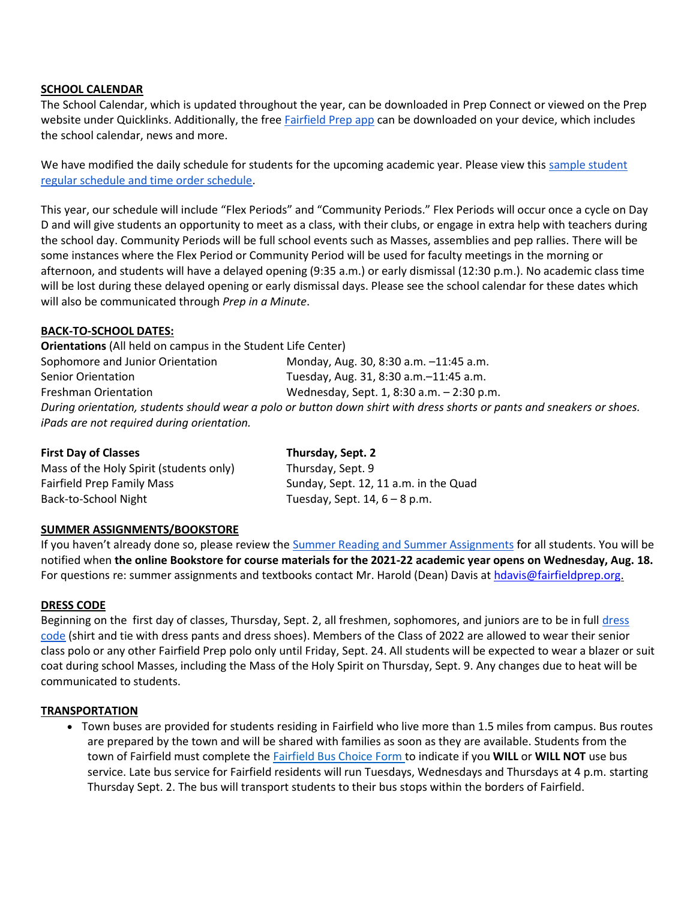#### **SCHOOL CALENDAR**

The School Calendar, which is updated throughout the year, can be downloaded in Prep Connect or viewed on the Prep website under Quicklinks. Additionally, the free [Fairfield Prep app](https://apps.apple.com/us/app/fairfield-prep/id506127245?ls=1) can be downloaded on your device, which includes the school calendar, news and more.

We have modified the daily schedule for students for the upcoming academic year. Please view this sample student [regular schedule and time order schedule.](https://www.fairfieldprep.org/fs/resource-manager/view/c8a19ef2-98c2-4ea7-ac6d-90eec862416b)

This year, our schedule will include "Flex Periods" and "Community Periods." Flex Periods will occur once a cycle on Day D and will give students an opportunity to meet as a class, with their clubs, or engage in extra help with teachers during the school day. Community Periods will be full school events such as Masses, assemblies and pep rallies. There will be some instances where the Flex Period or Community Period will be used for faculty meetings in the morning or afternoon, and students will have a delayed opening (9:35 a.m.) or early dismissal (12:30 p.m.). No academic class time will be lost during these delayed opening or early dismissal days. Please see the school calendar for these dates which will also be communicated through *Prep in a Minute*.

### **BACK-TO-SCHOOL DATES:**

**Orientations** (All held on campus in the Student Life Center) Sophomore and Junior Orientation Monday, Aug. 30, 8:30 a.m. -11:45 a.m. Senior Orientation Tuesday, Aug. 31, 8:30 a.m.–11:45 a.m. Freshman Orientation Wednesday, Sept. 1, 8:30 a.m. – 2:30 p.m. *During orientation, students should wear a polo or button down shirt with dress shorts or pants and sneakers or shoes. iPads are not required during orientation.*

| <b>First Day of Classes</b>             | Thursday, Sept. 2                     |
|-----------------------------------------|---------------------------------------|
| Mass of the Holy Spirit (students only) | Thursday, Sept. 9                     |
| <b>Fairfield Prep Family Mass</b>       | Sunday, Sept. 12, 11 a.m. in the Quad |
| Back-to-School Night                    | Tuesday, Sept. $14, 6 - 8$ p.m.       |

### **SUMMER ASSIGNMENTS/BOOKSTORE**

If you haven't already done so, please review the [Summer Reading and Summer Assignments](https://www.fairfieldprep.org/parent-portal/academic-information/summer-assignments) for all students. You will be notified when **the online Bookstore for course materials for the 2021-22 academic year opens on Wednesday, Aug. 18.** For questions re: summer assignments and textbooks contact Mr. Harold (Dean) Davis a[t hdavis@fairfieldprep.org.](mailto:hdavis@fairfieldprep.org)

### **DRESS CODE**

Beginning on the first day of classes, Thursday, Sept. 2, all freshmen, sophomores, and juniors are to be in full [dress](http://www.fairfieldprep.org/dresscode)  [code](http://www.fairfieldprep.org/dresscode) (shirt and tie with dress pants and dress shoes). Members of the Class of 2022 are allowed to wear their senior class polo or any other Fairfield Prep polo only until Friday, Sept. 24. All students will be expected to wear a blazer or suit coat during school Masses, including the Mass of the Holy Spirit on Thursday, Sept. 9. Any changes due to heat will be communicated to students.

#### **TRANSPORTATION**

 Town buses are provided for students residing in Fairfield who live more than 1.5 miles from campus. Bus routes are prepared by the town and will be shared with families as soon as they are available. Students from the town of Fairfield must complete the [Fairfield Bus Choice Form t](http://www.fairfieldprep.org/buschoice)o indicate if you **WILL** or **WILL NOT** use bus service. Late bus service for Fairfield residents will run Tuesdays, Wednesdays and Thursdays at 4 p.m. starting Thursday Sept. 2. The bus will transport students to their bus stops within the borders of Fairfield.